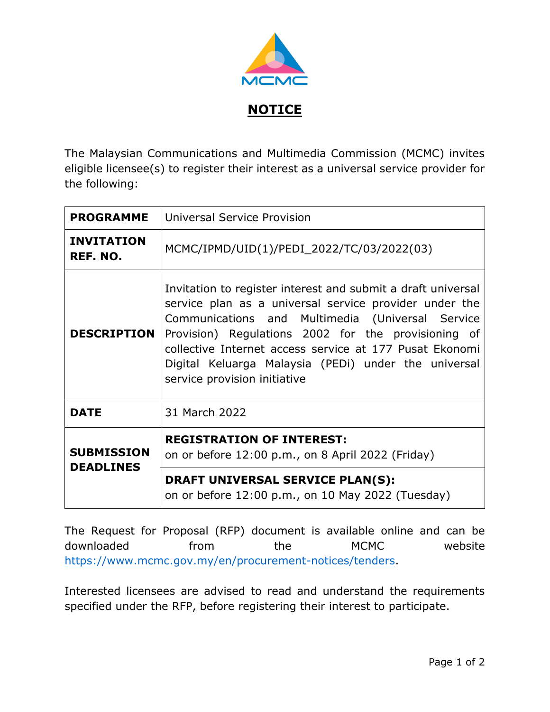

The Malaysian Communications and Multimedia Commission (MCMC) invites eligible licensee(s) to register their interest as a universal service provider for the following:

| <b>PROGRAMME</b>                      | Universal Service Provision                                                                                                                                                                                                                                                                                                                                                          |
|---------------------------------------|--------------------------------------------------------------------------------------------------------------------------------------------------------------------------------------------------------------------------------------------------------------------------------------------------------------------------------------------------------------------------------------|
| <b>INVITATION</b><br>REF. NO.         | MCMC/IPMD/UID(1)/PEDI_2022/TC/03/2022(03)                                                                                                                                                                                                                                                                                                                                            |
| <b>DESCRIPTION</b>                    | Invitation to register interest and submit a draft universal<br>service plan as a universal service provider under the<br>Communications and Multimedia (Universal Service<br>Provision) Regulations 2002 for the provisioning of<br>collective Internet access service at 177 Pusat Ekonomi<br>Digital Keluarga Malaysia (PEDi) under the universal<br>service provision initiative |
| <b>DATE</b>                           | 31 March 2022                                                                                                                                                                                                                                                                                                                                                                        |
| <b>SUBMISSION</b><br><b>DEADLINES</b> | <b>REGISTRATION OF INTEREST:</b><br>on or before 12:00 p.m., on 8 April 2022 (Friday)<br>DRAFT UNIVERSAL SERVICE PLAN(S):<br>on or before 12:00 p.m., on 10 May 2022 (Tuesday)                                                                                                                                                                                                       |

The Request for Proposal (RFP) document is available online and can be downloaded from the MCMC website [https://www.mcmc.gov.my/en/procurement-notices/tenders.](https://www.mcmc.gov.my/en/procurement-notices/tenders)

Interested licensees are advised to read and understand the requirements specified under the RFP, before registering their interest to participate.